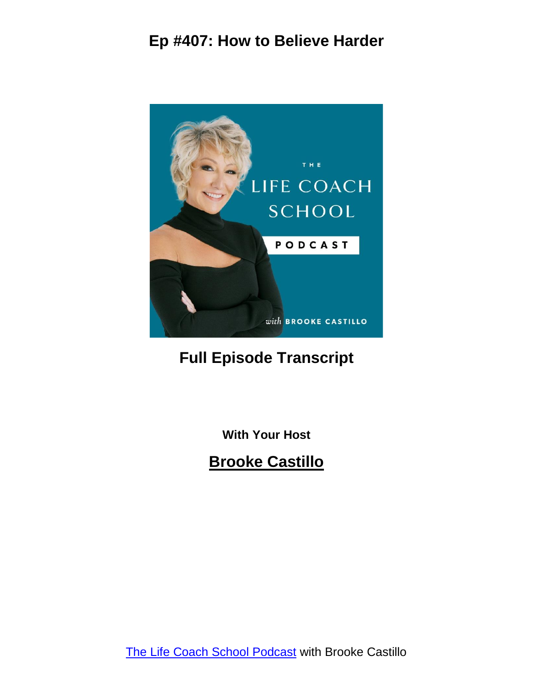

## **Full Episode Transcript**

**With Your Host**

**Brooke Castillo**

The Life Coach School [Podcast](http://www.thelifecoachschool.com/) with Brooke Castillo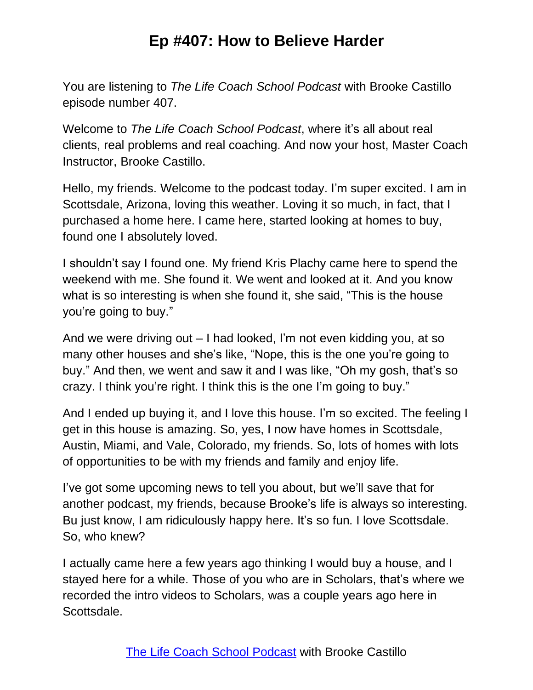You are listening to *The Life Coach School Podcast* with Brooke Castillo episode number 407.

Welcome to *The Life Coach School Podcast*, where it's all about real clients, real problems and real coaching. And now your host, Master Coach Instructor, Brooke Castillo.

Hello, my friends. Welcome to the podcast today. I'm super excited. I am in Scottsdale, Arizona, loving this weather. Loving it so much, in fact, that I purchased a home here. I came here, started looking at homes to buy, found one I absolutely loved.

I shouldn't say I found one. My friend Kris Plachy came here to spend the weekend with me. She found it. We went and looked at it. And you know what is so interesting is when she found it, she said, "This is the house you're going to buy."

And we were driving out – I had looked, I'm not even kidding you, at so many other houses and she's like, "Nope, this is the one you're going to buy." And then, we went and saw it and I was like, "Oh my gosh, that's so crazy. I think you're right. I think this is the one I'm going to buy."

And I ended up buying it, and I love this house. I'm so excited. The feeling I get in this house is amazing. So, yes, I now have homes in Scottsdale, Austin, Miami, and Vale, Colorado, my friends. So, lots of homes with lots of opportunities to be with my friends and family and enjoy life.

I've got some upcoming news to tell you about, but we'll save that for another podcast, my friends, because Brooke's life is always so interesting. Bu just know, I am ridiculously happy here. It's so fun. I love Scottsdale. So, who knew?

I actually came here a few years ago thinking I would buy a house, and I stayed here for a while. Those of you who are in Scholars, that's where we recorded the intro videos to Scholars, was a couple years ago here in Scottsdale.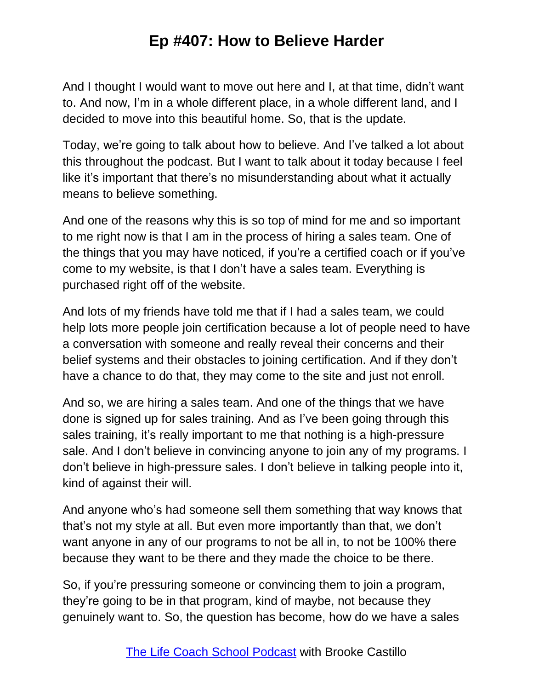And I thought I would want to move out here and I, at that time, didn't want to. And now, I'm in a whole different place, in a whole different land, and I decided to move into this beautiful home. So, that is the update.

Today, we're going to talk about how to believe. And I've talked a lot about this throughout the podcast. But I want to talk about it today because I feel like it's important that there's no misunderstanding about what it actually means to believe something.

And one of the reasons why this is so top of mind for me and so important to me right now is that I am in the process of hiring a sales team. One of the things that you may have noticed, if you're a certified coach or if you've come to my website, is that I don't have a sales team. Everything is purchased right off of the website.

And lots of my friends have told me that if I had a sales team, we could help lots more people join certification because a lot of people need to have a conversation with someone and really reveal their concerns and their belief systems and their obstacles to joining certification. And if they don't have a chance to do that, they may come to the site and just not enroll.

And so, we are hiring a sales team. And one of the things that we have done is signed up for sales training. And as I've been going through this sales training, it's really important to me that nothing is a high-pressure sale. And I don't believe in convincing anyone to join any of my programs. I don't believe in high-pressure sales. I don't believe in talking people into it, kind of against their will.

And anyone who's had someone sell them something that way knows that that's not my style at all. But even more importantly than that, we don't want anyone in any of our programs to not be all in, to not be 100% there because they want to be there and they made the choice to be there.

So, if you're pressuring someone or convincing them to join a program, they're going to be in that program, kind of maybe, not because they genuinely want to. So, the question has become, how do we have a sales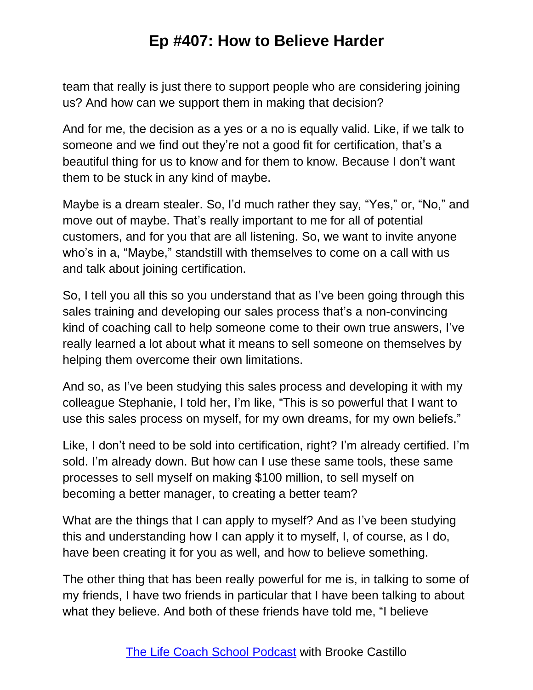team that really is just there to support people who are considering joining us? And how can we support them in making that decision?

And for me, the decision as a yes or a no is equally valid. Like, if we talk to someone and we find out they're not a good fit for certification, that's a beautiful thing for us to know and for them to know. Because I don't want them to be stuck in any kind of maybe.

Maybe is a dream stealer. So, I'd much rather they say, "Yes," or, "No," and move out of maybe. That's really important to me for all of potential customers, and for you that are all listening. So, we want to invite anyone who's in a, "Maybe," standstill with themselves to come on a call with us and talk about joining certification.

So, I tell you all this so you understand that as I've been going through this sales training and developing our sales process that's a non-convincing kind of coaching call to help someone come to their own true answers, I've really learned a lot about what it means to sell someone on themselves by helping them overcome their own limitations.

And so, as I've been studying this sales process and developing it with my colleague Stephanie, I told her, I'm like, "This is so powerful that I want to use this sales process on myself, for my own dreams, for my own beliefs."

Like, I don't need to be sold into certification, right? I'm already certified. I'm sold. I'm already down. But how can I use these same tools, these same processes to sell myself on making \$100 million, to sell myself on becoming a better manager, to creating a better team?

What are the things that I can apply to myself? And as I've been studying this and understanding how I can apply it to myself, I, of course, as I do, have been creating it for you as well, and how to believe something.

The other thing that has been really powerful for me is, in talking to some of my friends, I have two friends in particular that I have been talking to about what they believe. And both of these friends have told me, "I believe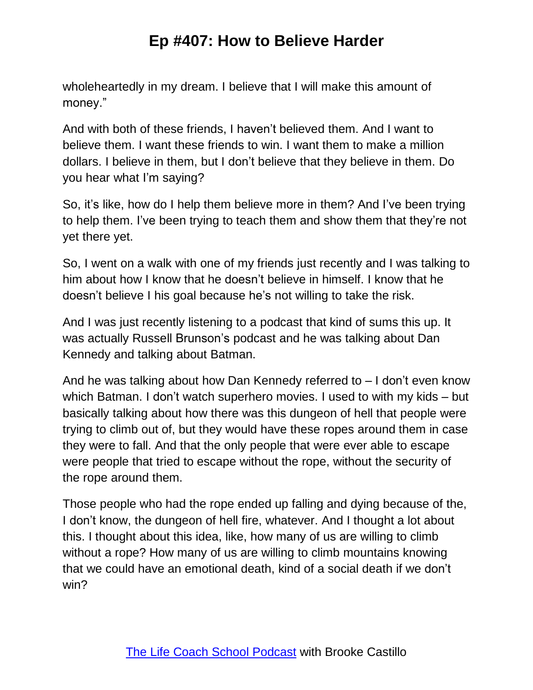wholeheartedly in my dream. I believe that I will make this amount of money."

And with both of these friends, I haven't believed them. And I want to believe them. I want these friends to win. I want them to make a million dollars. I believe in them, but I don't believe that they believe in them. Do you hear what I'm saying?

So, it's like, how do I help them believe more in them? And I've been trying to help them. I've been trying to teach them and show them that they're not yet there yet.

So, I went on a walk with one of my friends just recently and I was talking to him about how I know that he doesn't believe in himself. I know that he doesn't believe I his goal because he's not willing to take the risk.

And I was just recently listening to a podcast that kind of sums this up. It was actually Russell Brunson's podcast and he was talking about Dan Kennedy and talking about Batman.

And he was talking about how Dan Kennedy referred to – I don't even know which Batman. I don't watch superhero movies. I used to with my kids – but basically talking about how there was this dungeon of hell that people were trying to climb out of, but they would have these ropes around them in case they were to fall. And that the only people that were ever able to escape were people that tried to escape without the rope, without the security of the rope around them.

Those people who had the rope ended up falling and dying because of the, I don't know, the dungeon of hell fire, whatever. And I thought a lot about this. I thought about this idea, like, how many of us are willing to climb without a rope? How many of us are willing to climb mountains knowing that we could have an emotional death, kind of a social death if we don't win?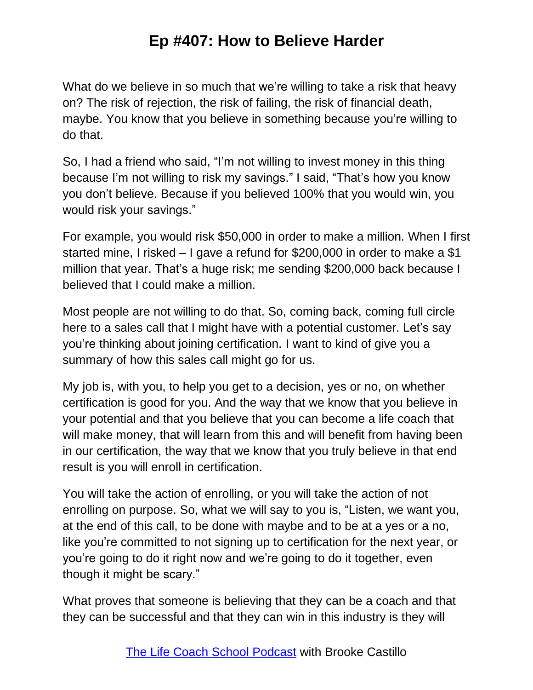What do we believe in so much that we're willing to take a risk that heavy on? The risk of rejection, the risk of failing, the risk of financial death, maybe. You know that you believe in something because you're willing to do that.

So, I had a friend who said, "I'm not willing to invest money in this thing because I'm not willing to risk my savings." I said, "That's how you know you don't believe. Because if you believed 100% that you would win, you would risk your savings."

For example, you would risk \$50,000 in order to make a million. When I first started mine, I risked – I gave a refund for \$200,000 in order to make a \$1 million that year. That's a huge risk; me sending \$200,000 back because I believed that I could make a million.

Most people are not willing to do that. So, coming back, coming full circle here to a sales call that I might have with a potential customer. Let's say you're thinking about joining certification. I want to kind of give you a summary of how this sales call might go for us.

My job is, with you, to help you get to a decision, yes or no, on whether certification is good for you. And the way that we know that you believe in your potential and that you believe that you can become a life coach that will make money, that will learn from this and will benefit from having been in our certification, the way that we know that you truly believe in that end result is you will enroll in certification.

You will take the action of enrolling, or you will take the action of not enrolling on purpose. So, what we will say to you is, "Listen, we want you, at the end of this call, to be done with maybe and to be at a yes or a no, like you're committed to not signing up to certification for the next year, or you're going to do it right now and we're going to do it together, even though it might be scary."

What proves that someone is believing that they can be a coach and that they can be successful and that they can win in this industry is they will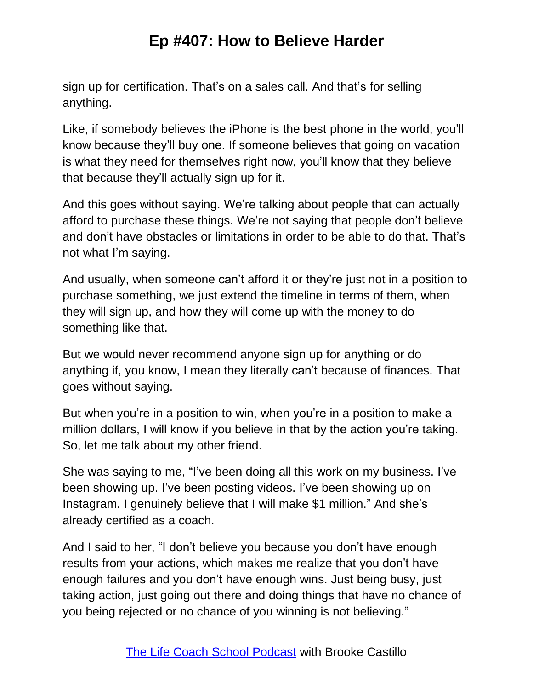sign up for certification. That's on a sales call. And that's for selling anything.

Like, if somebody believes the iPhone is the best phone in the world, you'll know because they'll buy one. If someone believes that going on vacation is what they need for themselves right now, you'll know that they believe that because they'll actually sign up for it.

And this goes without saying. We're talking about people that can actually afford to purchase these things. We're not saying that people don't believe and don't have obstacles or limitations in order to be able to do that. That's not what I'm saying.

And usually, when someone can't afford it or they're just not in a position to purchase something, we just extend the timeline in terms of them, when they will sign up, and how they will come up with the money to do something like that.

But we would never recommend anyone sign up for anything or do anything if, you know, I mean they literally can't because of finances. That goes without saying.

But when you're in a position to win, when you're in a position to make a million dollars, I will know if you believe in that by the action you're taking. So, let me talk about my other friend.

She was saying to me, "I've been doing all this work on my business. I've been showing up. I've been posting videos. I've been showing up on Instagram. I genuinely believe that I will make \$1 million." And she's already certified as a coach.

And I said to her, "I don't believe you because you don't have enough results from your actions, which makes me realize that you don't have enough failures and you don't have enough wins. Just being busy, just taking action, just going out there and doing things that have no chance of you being rejected or no chance of you winning is not believing."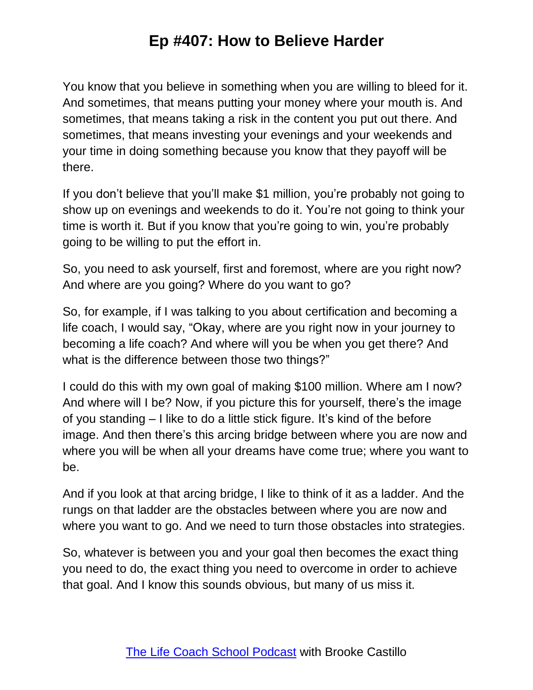You know that you believe in something when you are willing to bleed for it. And sometimes, that means putting your money where your mouth is. And sometimes, that means taking a risk in the content you put out there. And sometimes, that means investing your evenings and your weekends and your time in doing something because you know that they payoff will be there.

If you don't believe that you'll make \$1 million, you're probably not going to show up on evenings and weekends to do it. You're not going to think your time is worth it. But if you know that you're going to win, you're probably going to be willing to put the effort in.

So, you need to ask yourself, first and foremost, where are you right now? And where are you going? Where do you want to go?

So, for example, if I was talking to you about certification and becoming a life coach, I would say, "Okay, where are you right now in your journey to becoming a life coach? And where will you be when you get there? And what is the difference between those two things?"

I could do this with my own goal of making \$100 million. Where am I now? And where will I be? Now, if you picture this for yourself, there's the image of you standing – I like to do a little stick figure. It's kind of the before image. And then there's this arcing bridge between where you are now and where you will be when all your dreams have come true; where you want to be.

And if you look at that arcing bridge, I like to think of it as a ladder. And the rungs on that ladder are the obstacles between where you are now and where you want to go. And we need to turn those obstacles into strategies.

So, whatever is between you and your goal then becomes the exact thing you need to do, the exact thing you need to overcome in order to achieve that goal. And I know this sounds obvious, but many of us miss it.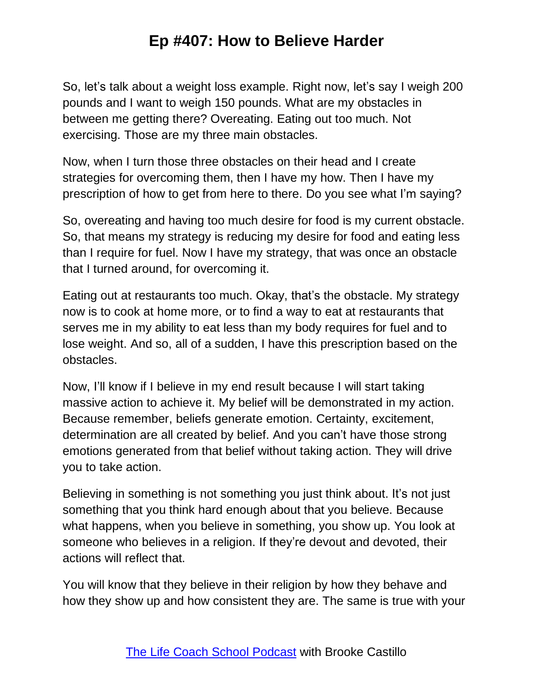So, let's talk about a weight loss example. Right now, let's say I weigh 200 pounds and I want to weigh 150 pounds. What are my obstacles in between me getting there? Overeating. Eating out too much. Not exercising. Those are my three main obstacles.

Now, when I turn those three obstacles on their head and I create strategies for overcoming them, then I have my how. Then I have my prescription of how to get from here to there. Do you see what I'm saying?

So, overeating and having too much desire for food is my current obstacle. So, that means my strategy is reducing my desire for food and eating less than I require for fuel. Now I have my strategy, that was once an obstacle that I turned around, for overcoming it.

Eating out at restaurants too much. Okay, that's the obstacle. My strategy now is to cook at home more, or to find a way to eat at restaurants that serves me in my ability to eat less than my body requires for fuel and to lose weight. And so, all of a sudden, I have this prescription based on the obstacles.

Now, I'll know if I believe in my end result because I will start taking massive action to achieve it. My belief will be demonstrated in my action. Because remember, beliefs generate emotion. Certainty, excitement, determination are all created by belief. And you can't have those strong emotions generated from that belief without taking action. They will drive you to take action.

Believing in something is not something you just think about. It's not just something that you think hard enough about that you believe. Because what happens, when you believe in something, you show up. You look at someone who believes in a religion. If they're devout and devoted, their actions will reflect that.

You will know that they believe in their religion by how they behave and how they show up and how consistent they are. The same is true with your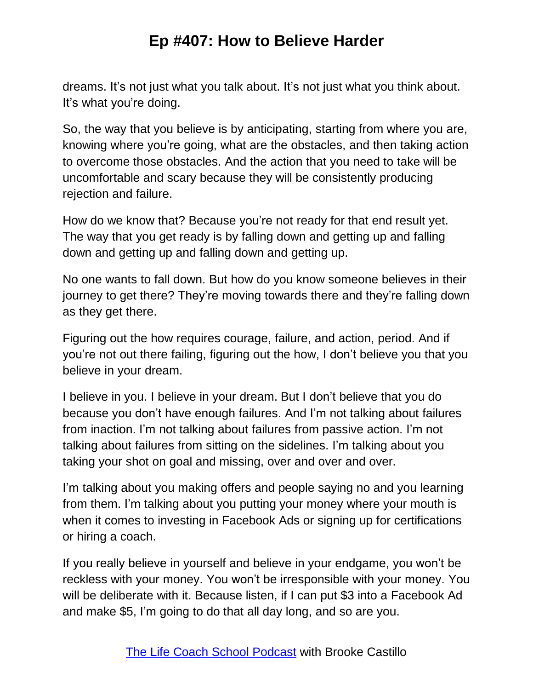dreams. It's not just what you talk about. It's not just what you think about. It's what you're doing.

So, the way that you believe is by anticipating, starting from where you are, knowing where you're going, what are the obstacles, and then taking action to overcome those obstacles. And the action that you need to take will be uncomfortable and scary because they will be consistently producing rejection and failure.

How do we know that? Because you're not ready for that end result yet. The way that you get ready is by falling down and getting up and falling down and getting up and falling down and getting up.

No one wants to fall down. But how do you know someone believes in their journey to get there? They're moving towards there and they're falling down as they get there.

Figuring out the how requires courage, failure, and action, period. And if you're not out there failing, figuring out the how, I don't believe you that you believe in your dream.

I believe in you. I believe in your dream. But I don't believe that you do because you don't have enough failures. And I'm not talking about failures from inaction. I'm not talking about failures from passive action. I'm not talking about failures from sitting on the sidelines. I'm talking about you taking your shot on goal and missing, over and over and over.

I'm talking about you making offers and people saying no and you learning from them. I'm talking about you putting your money where your mouth is when it comes to investing in Facebook Ads or signing up for certifications or hiring a coach.

If you really believe in yourself and believe in your endgame, you won't be reckless with your money. You won't be irresponsible with your money. You will be deliberate with it. Because listen, if I can put \$3 into a Facebook Ad and make \$5, I'm going to do that all day long, and so are you.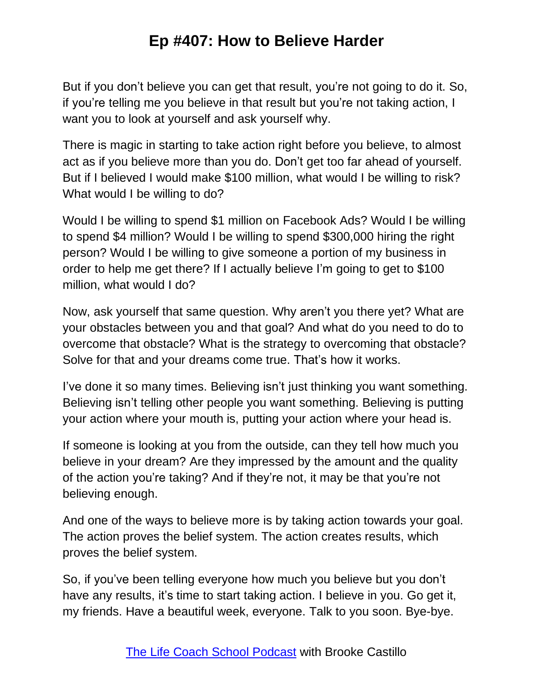But if you don't believe you can get that result, you're not going to do it. So, if you're telling me you believe in that result but you're not taking action, I want you to look at yourself and ask yourself why.

There is magic in starting to take action right before you believe, to almost act as if you believe more than you do. Don't get too far ahead of yourself. But if I believed I would make \$100 million, what would I be willing to risk? What would I be willing to do?

Would I be willing to spend \$1 million on Facebook Ads? Would I be willing to spend \$4 million? Would I be willing to spend \$300,000 hiring the right person? Would I be willing to give someone a portion of my business in order to help me get there? If I actually believe I'm going to get to \$100 million, what would I do?

Now, ask yourself that same question. Why aren't you there yet? What are your obstacles between you and that goal? And what do you need to do to overcome that obstacle? What is the strategy to overcoming that obstacle? Solve for that and your dreams come true. That's how it works.

I've done it so many times. Believing isn't just thinking you want something. Believing isn't telling other people you want something. Believing is putting your action where your mouth is, putting your action where your head is.

If someone is looking at you from the outside, can they tell how much you believe in your dream? Are they impressed by the amount and the quality of the action you're taking? And if they're not, it may be that you're not believing enough.

And one of the ways to believe more is by taking action towards your goal. The action proves the belief system. The action creates results, which proves the belief system.

So, if you've been telling everyone how much you believe but you don't have any results, it's time to start taking action. I believe in you. Go get it, my friends. Have a beautiful week, everyone. Talk to you soon. Bye-bye.